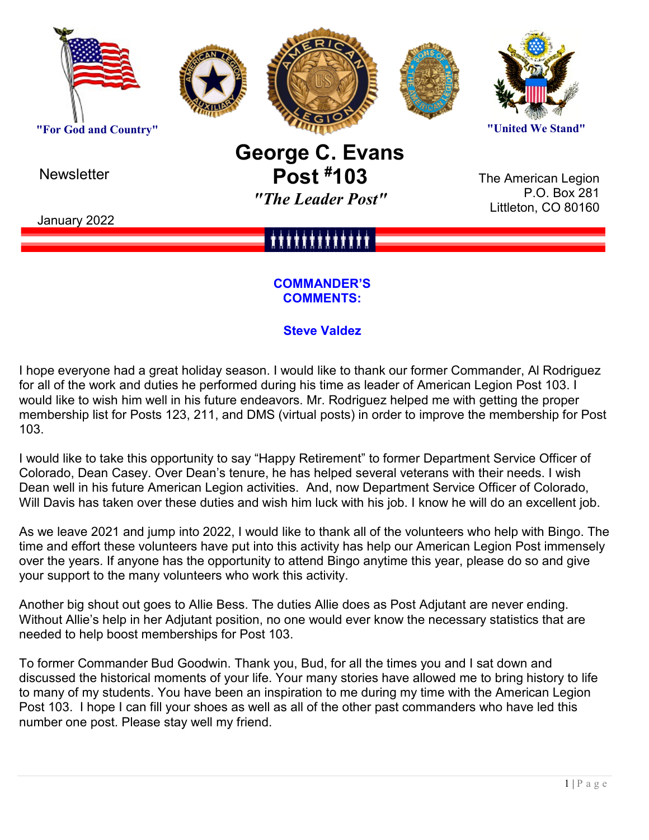

**Newsletter** 

# **George C. Evans Post #103** *"The Leader Post"*

The American Legion P.O. Box 281 Littleton, CO 80160

January 2022

#### **COMMANDER'S COMMENTS:**

# **Steve Valdez**

I hope everyone had a great holiday season. I would like to thank our former Commander, Al Rodriguez for all of the work and duties he performed during his time as leader of American Legion Post 103. I would like to wish him well in his future endeavors. Mr. Rodriguez helped me with getting the proper membership list for Posts 123, 211, and DMS (virtual posts) in order to improve the membership for Post 103.

I would like to take this opportunity to say "Happy Retirement" to former Department Service Officer of Colorado, Dean Casey. Over Dean's tenure, he has helped several veterans with their needs. I wish Dean well in his future American Legion activities. And, now Department Service Officer of Colorado, Will Davis has taken over these duties and wish him luck with his job. I know he will do an excellent job.

As we leave 2021 and jump into 2022, I would like to thank all of the volunteers who help with Bingo. The time and effort these volunteers have put into this activity has help our American Legion Post immensely over the years. If anyone has the opportunity to attend Bingo anytime this year, please do so and give your support to the many volunteers who work this activity.

Another big shout out goes to Allie Bess. The duties Allie does as Post Adjutant are never ending. Without Allie's help in her Adjutant position, no one would ever know the necessary statistics that are needed to help boost memberships for Post 103.

To former Commander Bud Goodwin. Thank you, Bud, for all the times you and I sat down and discussed the historical moments of your life. Your many stories have allowed me to bring history to life to many of my students. You have been an inspiration to me during my time with the American Legion Post 103. I hope I can fill your shoes as well as all of the other past commanders who have led this number one post. Please stay well my friend.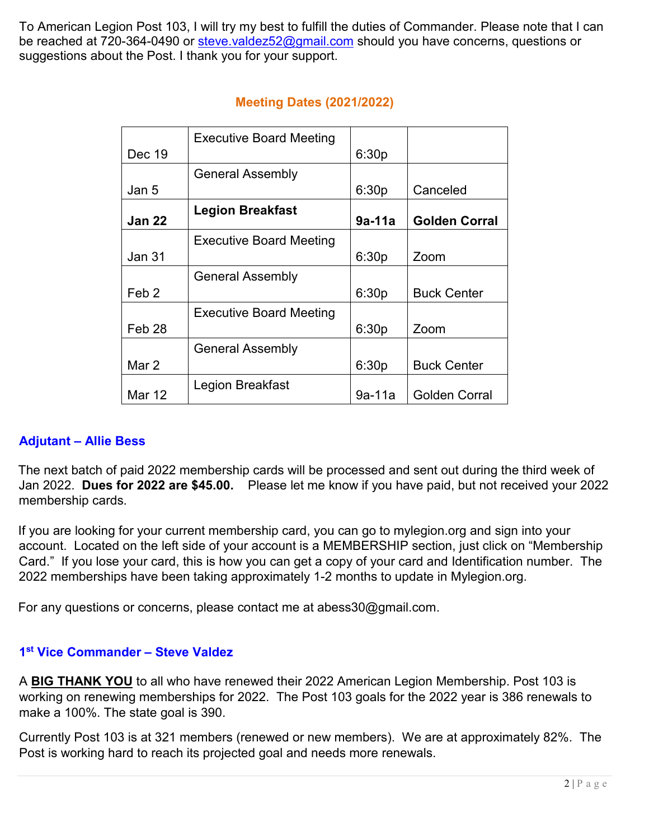To American Legion Post 103, I will try my best to fulfill the duties of Commander. Please note that I can be reached at 720-364-0490 or [steve.valdez52@gmail.com](mailto:steve.valdez52@gmail.com) should you have concerns, questions or suggestions about the Post. I thank you for your support.

|                   | <b>Executive Board Meeting</b> |          |                      |
|-------------------|--------------------------------|----------|----------------------|
| Dec 19            |                                | 6:30p    |                      |
|                   | <b>General Assembly</b>        |          |                      |
| Jan 5             |                                | 6:30p    | Canceled             |
| <b>Jan 22</b>     | <b>Legion Breakfast</b>        | $9a-11a$ | <b>Golden Corral</b> |
|                   | <b>Executive Board Meeting</b> |          |                      |
| Jan 31            |                                | 6:30p    | Zoom                 |
|                   | <b>General Assembly</b>        |          |                      |
| Feb <sub>2</sub>  |                                | 6:30p    | <b>Buck Center</b>   |
|                   | <b>Executive Board Meeting</b> |          |                      |
| Feb <sub>28</sub> |                                | 6:30p    | Zoom                 |
|                   | <b>General Assembly</b>        |          |                      |
| Mar 2             |                                | 6:30p    | <b>Buck Center</b>   |
| Mar 12            | Legion Breakfast               | $9a-11a$ | <b>Golden Corral</b> |

# **Meeting Dates (2021/2022)**

#### **Adjutant – Allie Bess**

The next batch of paid 2022 membership cards will be processed and sent out during the third week of Jan 2022. **Dues for 2022 are \$45.00.** Please let me know if you have paid, but not received your 2022 membership cards.

If you are looking for your current membership card, you can go to mylegion.org and sign into your account. Located on the left side of your account is a MEMBERSHIP section, just click on "Membership Card." If you lose your card, this is how you can get a copy of your card and Identification number. The 2022 memberships have been taking approximately 1-2 months to update in Mylegion.org.

For any questions or concerns, please contact me at abess30@gmail.com.

#### **1st Vice Commander – Steve Valdez**

A **BIG THANK YOU** to all who have renewed their 2022 American Legion Membership. Post 103 is working on renewing memberships for 2022. The Post 103 goals for the 2022 year is 386 renewals to make a 100%. The state goal is 390.

Currently Post 103 is at 321 members (renewed or new members). We are at approximately 82%. The Post is working hard to reach its projected goal and needs more renewals.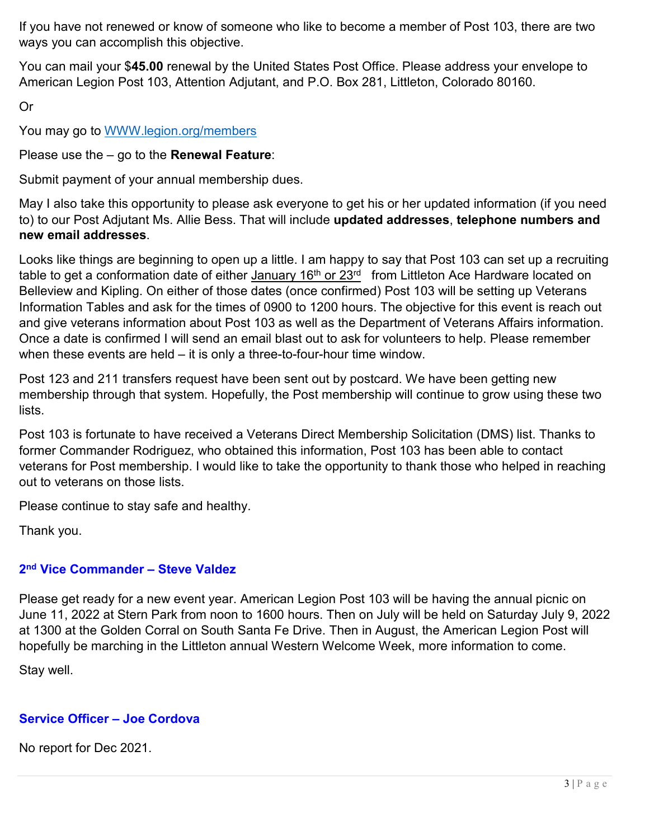If you have not renewed or know of someone who like to become a member of Post 103, there are two ways you can accomplish this objective.

You can mail your \$**45.00** renewal by the United States Post Office. Please address your envelope to American Legion Post 103, Attention Adjutant, and P.O. Box 281, Littleton, Colorado 80160.

Or

You may go to [WWW.legion.org/members](http://www.legion.org/members)

Please use the – go to the **Renewal Feature**:

Submit payment of your annual membership dues.

May I also take this opportunity to please ask everyone to get his or her updated information (if you need to) to our Post Adjutant Ms. Allie Bess. That will include **updated addresses**, **telephone numbers and new email addresses**.

Looks like things are beginning to open up a little. I am happy to say that Post 103 can set up a recruiting table to get a conformation date of either January 16<sup>th</sup> or 23<sup>rd</sup> from Littleton Ace Hardware located on Belleview and Kipling. On either of those dates (once confirmed) Post 103 will be setting up Veterans Information Tables and ask for the times of 0900 to 1200 hours. The objective for this event is reach out and give veterans information about Post 103 as well as the Department of Veterans Affairs information. Once a date is confirmed I will send an email blast out to ask for volunteers to help. Please remember when these events are held – it is only a three-to-four-hour time window.

Post 123 and 211 transfers request have been sent out by postcard. We have been getting new membership through that system. Hopefully, the Post membership will continue to grow using these two lists.

Post 103 is fortunate to have received a Veterans Direct Membership Solicitation (DMS) list. Thanks to former Commander Rodriguez, who obtained this information, Post 103 has been able to contact veterans for Post membership. I would like to take the opportunity to thank those who helped in reaching out to veterans on those lists.

Please continue to stay safe and healthy.

Thank you.

# **2nd Vice Commander – Steve Valdez**

Please get ready for a new event year. American Legion Post 103 will be having the annual picnic on June 11, 2022 at Stern Park from noon to 1600 hours. Then on July will be held on Saturday July 9, 2022 at 1300 at the Golden Corral on South Santa Fe Drive. Then in August, the American Legion Post will hopefully be marching in the Littleton annual Western Welcome Week, more information to come.

Stay well.

# **Service Officer – Joe Cordova**

No report for Dec 2021.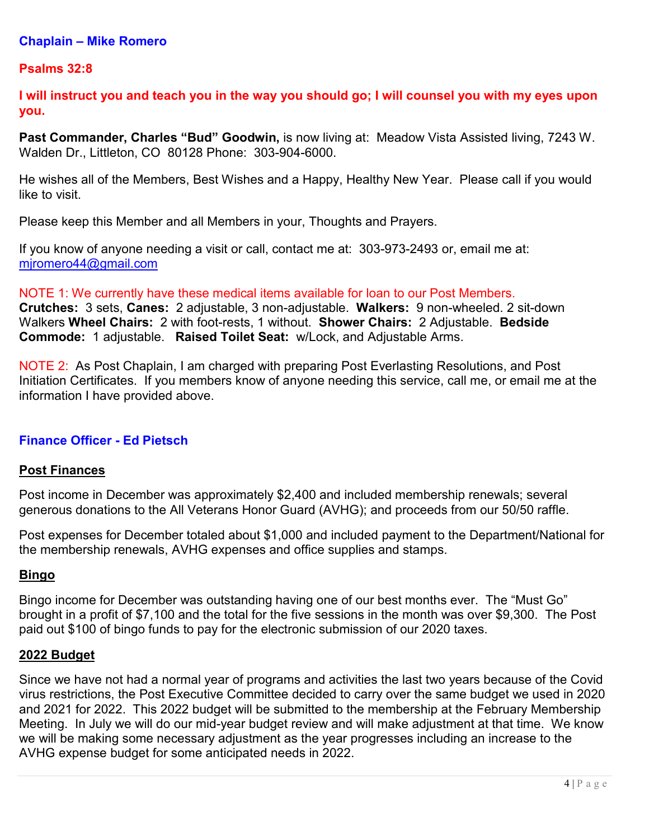#### **Chaplain – Mike Romero**

#### **Psalms 32:8**

**I will instruct you and teach you in the way you should go; I will counsel you with my eyes upon you.**

**Past Commander, Charles "Bud" Goodwin,** is now living at: Meadow Vista Assisted living, 7243 W. Walden Dr., Littleton, CO 80128 Phone: 303-904-6000.

He wishes all of the Members, Best Wishes and a Happy, Healthy New Year. Please call if you would like to visit.

Please keep this Member and all Members in your, Thoughts and Prayers.

If you know of anyone needing a visit or call, contact me at: 303-973-2493 or, email me at: [mjromero44@gmail.com](mailto:mjromero44@gmail.com)

NOTE 1: We currently have these medical items available for loan to our Post Members. **Crutches:** 3 sets, **Canes:** 2 adjustable, 3 non-adjustable. **Walkers:** 9 non-wheeled. 2 sit-down Walkers **Wheel Chairs:** 2 with foot-rests, 1 without. **Shower Chairs:** 2 Adjustable. **Bedside Commode:** 1 adjustable. **Raised Toilet Seat:** w/Lock, and Adjustable Arms.

NOTE 2: As Post Chaplain, I am charged with preparing Post Everlasting Resolutions, and Post Initiation Certificates. If you members know of anyone needing this service, call me, or email me at the information I have provided above.

#### **Finance Officer - Ed Pietsch**

#### **Post Finances**

Post income in December was approximately \$2,400 and included membership renewals; several generous donations to the All Veterans Honor Guard (AVHG); and proceeds from our 50/50 raffle.

Post expenses for December totaled about \$1,000 and included payment to the Department/National for the membership renewals, AVHG expenses and office supplies and stamps.

#### **Bingo**

Bingo income for December was outstanding having one of our best months ever. The "Must Go" brought in a profit of \$7,100 and the total for the five sessions in the month was over \$9,300. The Post paid out \$100 of bingo funds to pay for the electronic submission of our 2020 taxes.

#### **2022 Budget**

Since we have not had a normal year of programs and activities the last two years because of the Covid virus restrictions, the Post Executive Committee decided to carry over the same budget we used in 2020 and 2021 for 2022. This 2022 budget will be submitted to the membership at the February Membership Meeting. In July we will do our mid-year budget review and will make adjustment at that time. We know we will be making some necessary adjustment as the year progresses including an increase to the AVHG expense budget for some anticipated needs in 2022.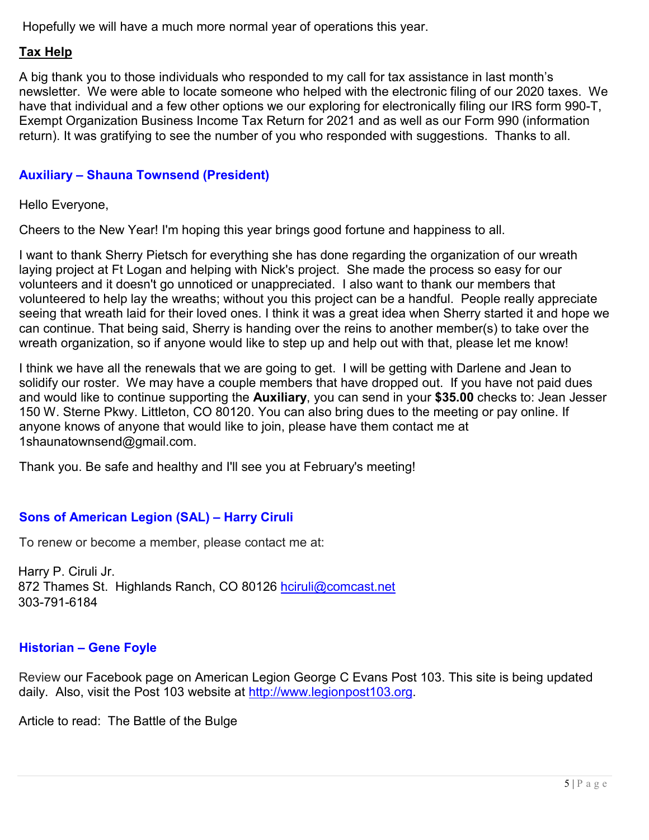Hopefully we will have a much more normal year of operations this year.

### **Tax Help**

A big thank you to those individuals who responded to my call for tax assistance in last month's newsletter. We were able to locate someone who helped with the electronic filing of our 2020 taxes. We have that individual and a few other options we our exploring for electronically filing our IRS form 990-T, Exempt Organization Business Income Tax Return for 2021 and as well as our Form 990 (information return). It was gratifying to see the number of you who responded with suggestions. Thanks to all.

# **Auxiliary – Shauna Townsend (President)**

Hello Everyone,

Cheers to the New Year! I'm hoping this year brings good fortune and happiness to all.

I want to thank Sherry Pietsch for everything she has done regarding the organization of our wreath laying project at Ft Logan and helping with Nick's project. She made the process so easy for our volunteers and it doesn't go unnoticed or unappreciated. I also want to thank our members that volunteered to help lay the wreaths; without you this project can be a handful. People really appreciate seeing that wreath laid for their loved ones. I think it was a great idea when Sherry started it and hope we can continue. That being said, Sherry is handing over the reins to another member(s) to take over the wreath organization, so if anyone would like to step up and help out with that, please let me know!

I think we have all the renewals that we are going to get. I will be getting with Darlene and Jean to solidify our roster. We may have a couple members that have dropped out. If you have not paid dues and would like to continue supporting the **Auxiliary**, you can send in your **\$35.00** checks to: Jean Jesser 150 W. Sterne Pkwy. Littleton, CO 80120. You can also bring dues to the meeting or pay online. If anyone knows of anyone that would like to join, please have them contact me at 1shaunatownsend@gmail.com.

Thank you. Be safe and healthy and I'll see you at February's meeting!

#### **Sons of American Legion (SAL) – Harry Ciruli**

To renew or become a member, please contact me at:

Harry P. Ciruli Jr. 872 Thames St. Highlands Ranch, CO 80126 hciruli@comcast.net 303-791-6184

#### **Historian – Gene Foyle**

Review our Facebook page on American Legion George C Evans Post 103. This site is being updated daily. Also, visit the Post 103 website at [http://www.legionpost103.org.](http://www.legionpost103.org/)

Article to read: The Battle of the Bulge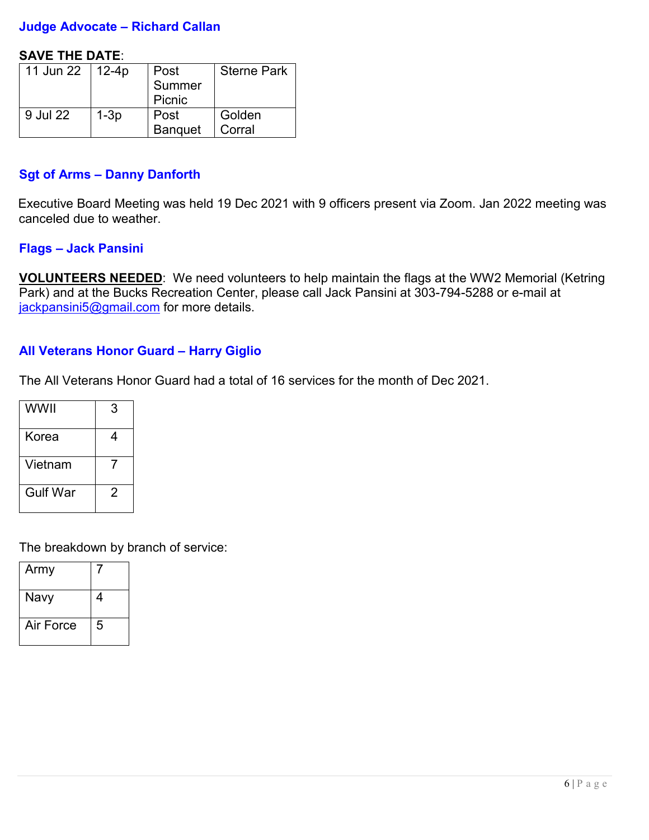### **Judge Advocate – Richard Callan**

#### **SAVE THE DATE**:

| 11 Jun 22   12-4p |        | Post           | <b>Sterne Park</b> |
|-------------------|--------|----------------|--------------------|
|                   |        | Summer         |                    |
|                   |        | Picnic         |                    |
| 9 Jul 22          | $1-3p$ | Post           | Golden             |
|                   |        | <b>Banquet</b> | Corral             |

#### **Sgt of Arms – Danny Danforth**

Executive Board Meeting was held 19 Dec 2021 with 9 officers present via Zoom. Jan 2022 meeting was canceled due to weather.

#### **Flags – Jack Pansini**

**VOLUNTEERS NEEDED**: We need volunteers to help maintain the flags at the WW2 Memorial (Ketring Park) and at the Bucks Recreation Center, please call Jack Pansini at 303-794-5288 or e-mail at [jackpansini5@gmail.com](mailto:jackpansini5@gmail.com) for more details.

#### **All Veterans Honor Guard – Harry Giglio**

The All Veterans Honor Guard had a total of 16 services for the month of Dec 2021.

| WWII            | 3 |
|-----------------|---|
| Korea           | 4 |
| Vietnam         |   |
| <b>Gulf War</b> | 2 |

The breakdown by branch of service:

| Army      |   |
|-----------|---|
| Navy      | 4 |
| Air Force | 5 |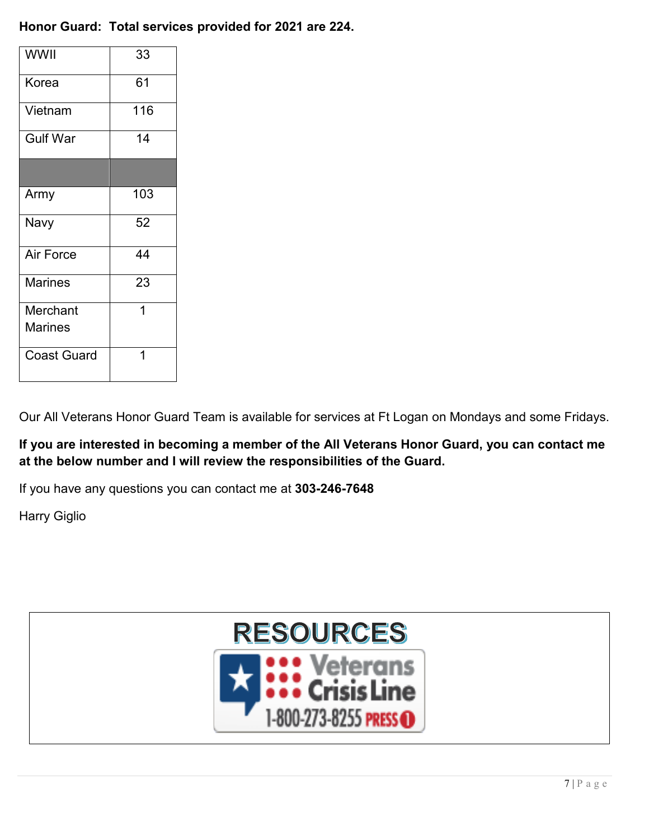# **Honor Guard: Total services provided for 2021 are 224.**

| WWII               | 33  |
|--------------------|-----|
| Korea              | 61  |
| Vietnam            | 116 |
| <b>Gulf War</b>    | 14  |
|                    |     |
| Army               | 103 |
| Navy               | 52  |
| Air Force          | 44  |
| <b>Marines</b>     | 23  |
| Merchant           | 1   |
| <b>Marines</b>     |     |
| <b>Coast Guard</b> |     |

Our All Veterans Honor Guard Team is available for services at Ft Logan on Mondays and some Fridays.

**If you are interested in becoming a member of the All Veterans Honor Guard, you can contact me at the below number and I will review the responsibilities of the Guard.**

If you have any questions you can contact me at **303-246-7648**

Harry Giglio

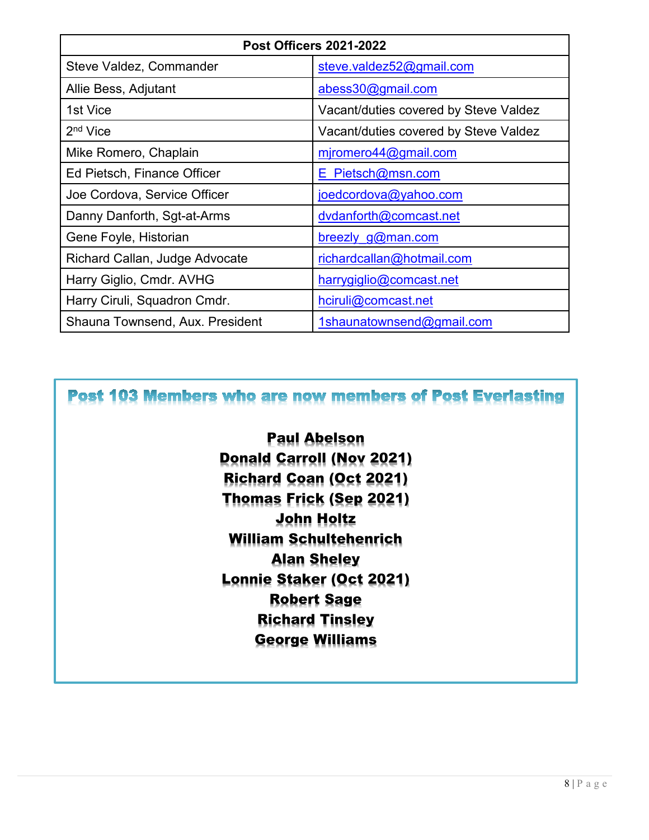| <b>Post Officers 2021-2022</b>  |                                       |  |
|---------------------------------|---------------------------------------|--|
| Steve Valdez, Commander         | steve.valdez52@gmail.com              |  |
| Allie Bess, Adjutant            | abess30@gmail.com                     |  |
| 1st Vice                        | Vacant/duties covered by Steve Valdez |  |
| 2 <sup>nd</sup> Vice            | Vacant/duties covered by Steve Valdez |  |
| Mike Romero, Chaplain           | miromero44@gmail.com                  |  |
| Ed Pietsch, Finance Officer     | E Pietsch@msn.com                     |  |
| Joe Cordova, Service Officer    | joedcordova@yahoo.com                 |  |
| Danny Danforth, Sgt-at-Arms     | dvdanforth@comcast.net                |  |
| Gene Foyle, Historian           | breezly g@man.com                     |  |
| Richard Callan, Judge Advocate  | richardcallan@hotmail.com             |  |
| Harry Giglio, Cmdr. AVHG        | harrygiglio@comcast.net               |  |
| Harry Ciruli, Squadron Cmdr.    | hciruli@comcast.net                   |  |
| Shauna Townsend, Aux. President | 1shaunatownsend@gmail.com             |  |

Post 103 Members who are now members of Post Everlasting

Paul Abelson Donald Carroll (Nov 2021) Richard Coan (Oct 2021) Thomas Frick (Sep 2021) John Holtz William Schultehenrich Alan Sheley Lonnie Staker (Oct 2021) Robert Sage Richard Tinsley George Williams